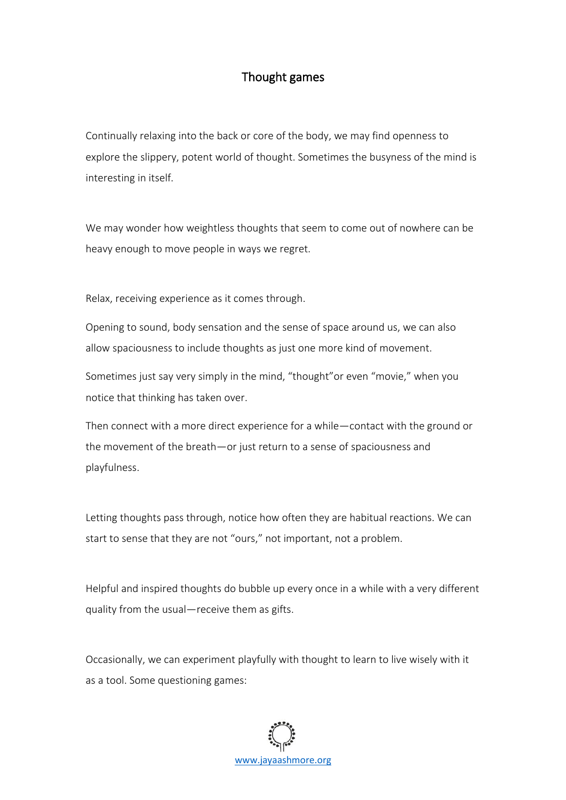## Thought games

Continually relaxing into the back or core of the body, we may find openness to explore the slippery, potent world of thought. Sometimes the busyness of the mind is interesting in itself.

We may wonder how weightless thoughts that seem to come out of nowhere can be heavy enough to move people in ways we regret.

Relax, receiving experience as it comes through.

Opening to sound, body sensation and the sense of space around us, we can also allow spaciousness to include thoughts as just one more kind of movement.

Sometimes just say very simply in the mind, "thought"or even "movie," when you notice that thinking has taken over.

Then connect with a more direct experience for a while—contact with the ground or the movement of the breath—or just return to a sense of spaciousness and playfulness.

Letting thoughts pass through, notice how often they are habitual reactions. We can start to sense that they are not "ours," not important, not a problem.

Helpful and inspired thoughts do bubble up every once in a while with a very different quality from the usual—receive them as gifts.

Occasionally, we can experiment playfully with thought to learn to live wisely with it as a tool. Some questioning games:

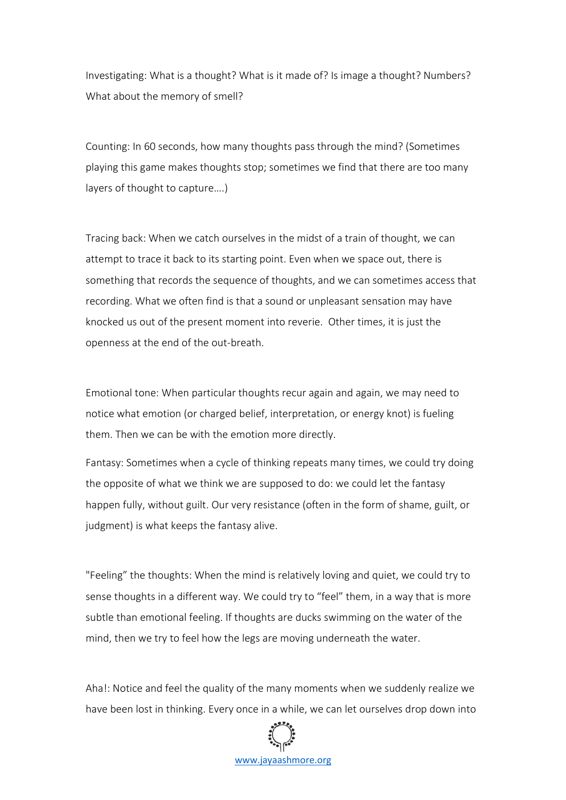Investigating: What is a thought? What is it made of? Is image a thought? Numbers? What about the memory of smell?

Counting: In 60 seconds, how many thoughts pass through the mind? (Sometimes playing this game makes thoughts stop; sometimes we find that there are too many layers of thought to capture….)

Tracing back: When we catch ourselves in the midst of a train of thought, we can attempt to trace it back to its starting point. Even when we space out, there is something that records the sequence of thoughts, and we can sometimes access that recording. What we often find is that a sound or unpleasant sensation may have knocked us out of the present moment into reverie. Other times, it is just the openness at the end of the out-breath.

Emotional tone: When particular thoughts recur again and again, we may need to notice what emotion (or charged belief, interpretation, or energy knot) is fueling them. Then we can be with the emotion more directly.

Fantasy: Sometimes when a cycle of thinking repeats many times, we could try doing the opposite of what we think we are supposed to do: we could let the fantasy happen fully, without guilt. Our very resistance (often in the form of shame, guilt, or judgment) is what keeps the fantasy alive.

"Feeling" the thoughts: When the mind is relatively loving and quiet, we could try to sense thoughts in a different way. We could try to "feel" them, in a way that is more subtle than emotional feeling. If thoughts are ducks swimming on the water of the mind, then we try to feel how the legs are moving underneath the water.

Aha!: Notice and feel the quality of the many moments when we suddenly realize we have been lost in thinking. Every once in a while, we can let ourselves drop down into